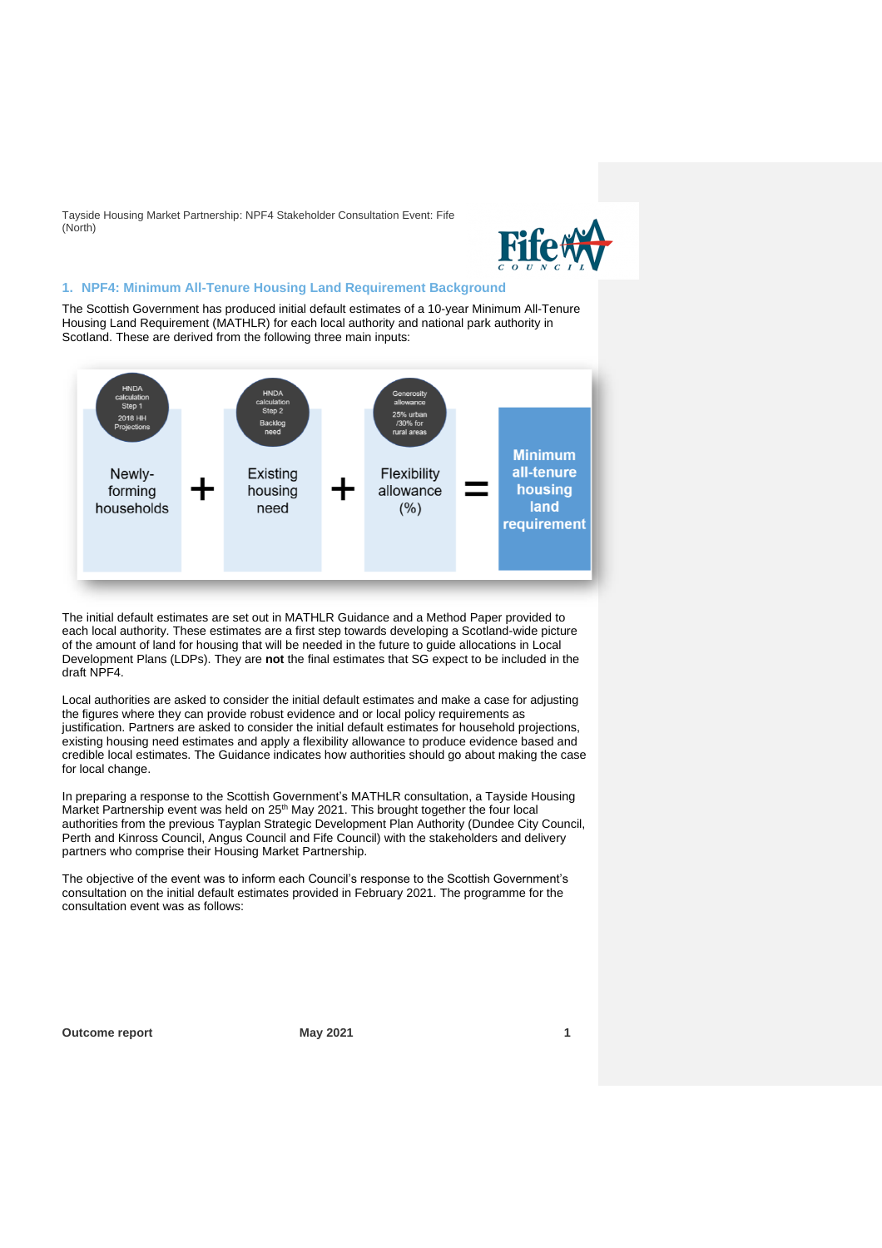

## **1. NPF4: Minimum All-Tenure Housing Land Requirement Background**

The Scottish Government has produced initial default estimates of a 10-year Minimum All-Tenure Housing Land Requirement (MATHLR) for each local authority and national park authority in Scotland. These are derived from the following three main inputs:



The initial default estimates are set out in MATHLR Guidance and a Method Paper provided to each local authority. These estimates are a first step towards developing a Scotland-wide picture of the amount of land for housing that will be needed in the future to guide allocations in Local Development Plans (LDPs). They are **not** the final estimates that SG expect to be included in the draft NPF4.

Local authorities are asked to consider the initial default estimates and make a case for adjusting the figures where they can provide robust evidence and or local policy requirements as justification. Partners are asked to consider the initial default estimates for household projections, existing housing need estimates and apply a flexibility allowance to produce evidence based and credible local estimates. The Guidance indicates how authorities should go about making the case for local change.

In preparing a response to the Scottish Government's MATHLR consultation, a Tayside Housing Market Partnership event was held on 25<sup>th</sup> May 2021. This brought together the four local authorities from the previous Tayplan Strategic Development Plan Authority (Dundee City Council, Perth and Kinross Council, Angus Council and Fife Council) with the stakeholders and delivery partners who comprise their Housing Market Partnership.

The objective of the event was to inform each Council's response to the Scottish Government's consultation on the initial default estimates provided in February 2021. The programme for the consultation event was as follows: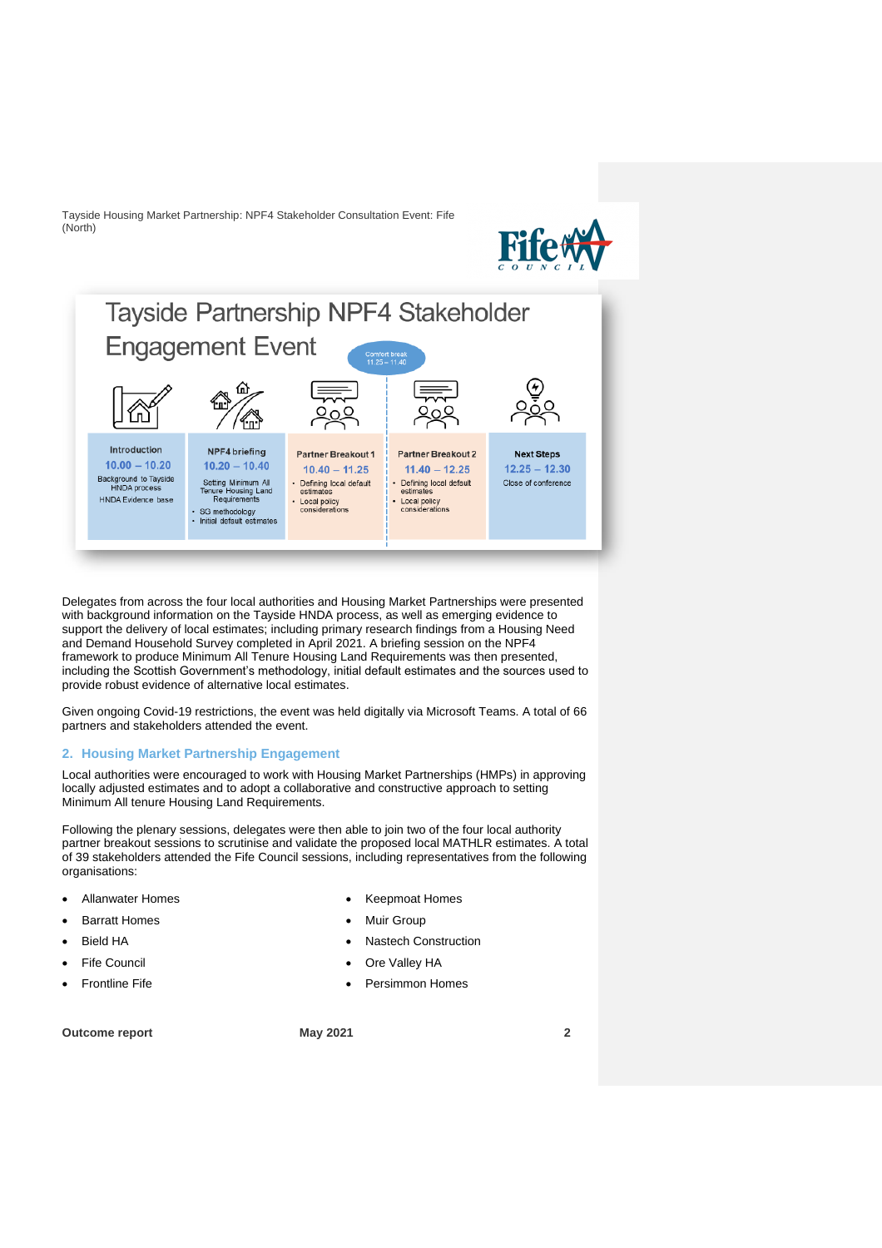



Delegates from across the four local authorities and Housing Market Partnerships were presented with background information on the Tayside HNDA process, as well as emerging evidence to support the delivery of local estimates; including primary research findings from a Housing Need and Demand Household Survey completed in April 2021. A briefing session on the NPF4 framework to produce Minimum All Tenure Housing Land Requirements was then presented, including the Scottish Government's methodology, initial default estimates and the sources used to provide robust evidence of alternative local estimates.

Given ongoing Covid-19 restrictions, the event was held digitally via Microsoft Teams. A total of 66 partners and stakeholders attended the event.

#### **2. Housing Market Partnership Engagement**

Local authorities were encouraged to work with Housing Market Partnerships (HMPs) in approving locally adjusted estimates and to adopt a collaborative and constructive approach to setting Minimum All tenure Housing Land Requirements.

Following the plenary sessions, delegates were then able to join two of the four local authority partner breakout sessions to scrutinise and validate the proposed local MATHLR estimates. A total of 39 stakeholders attended the Fife Council sessions, including representatives from the following organisations:

- Allanwater Homes
- **Barratt Homes**
- **Bield HA**
- **Fife Council**
- Frontline Fife

• Keepmoat Homes

- Muir Group
- Nastech Construction
- Ore Valley HA
- Persimmon Homes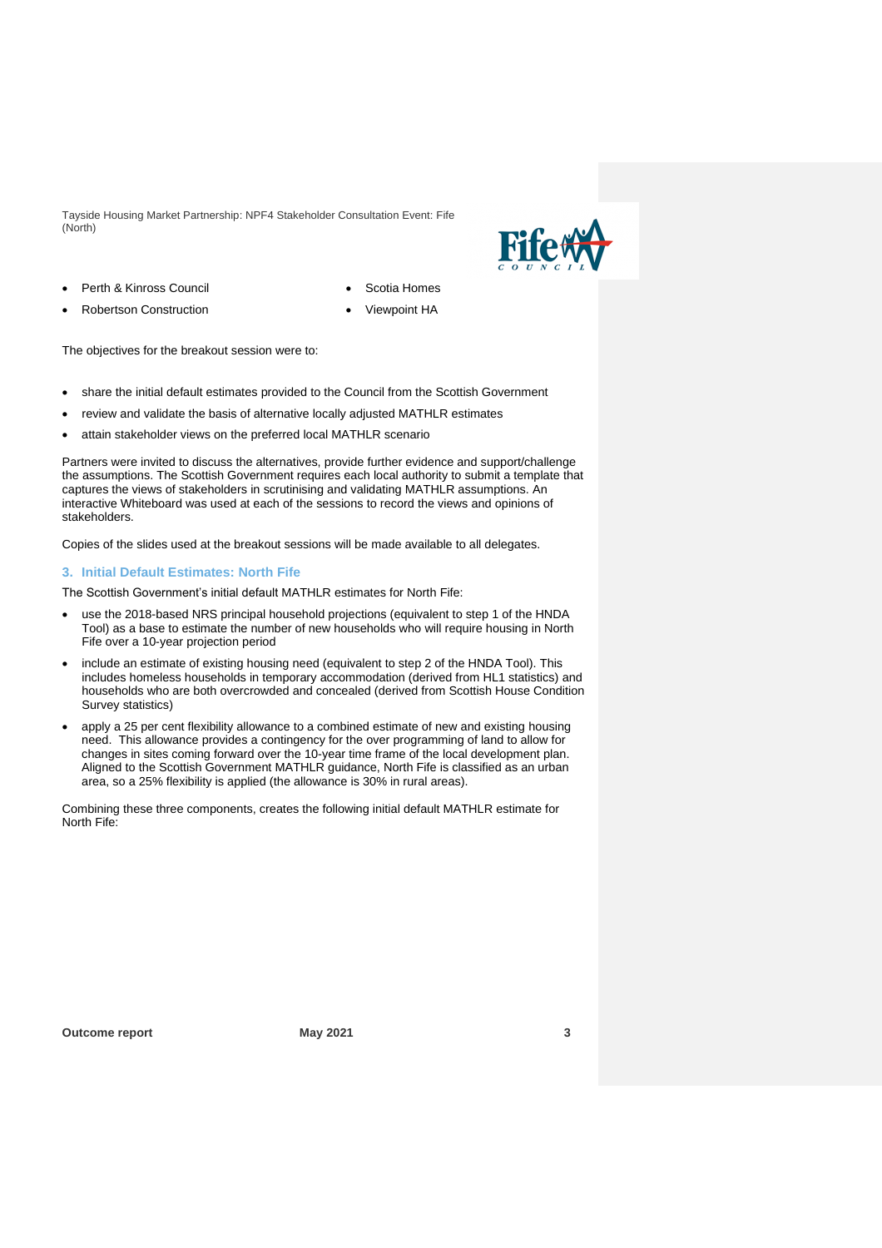

- Perth & Kinross Council
- Robertson Construction

• Scotia Homes • Viewpoint HA

The objectives for the breakout session were to:

- share the initial default estimates provided to the Council from the Scottish Government
- review and validate the basis of alternative locally adjusted MATHLR estimates
- attain stakeholder views on the preferred local MATHLR scenario

Partners were invited to discuss the alternatives, provide further evidence and support/challenge the assumptions. The Scottish Government requires each local authority to submit a template that captures the views of stakeholders in scrutinising and validating MATHLR assumptions. An interactive Whiteboard was used at each of the sessions to record the views and opinions of stakeholders.

Copies of the slides used at the breakout sessions will be made available to all delegates.

#### **3. Initial Default Estimates: North Fife**

The Scottish Government's initial default MATHLR estimates for North Fife:

- use the 2018-based NRS principal household projections (equivalent to step 1 of the HNDA Tool) as a base to estimate the number of new households who will require housing in North Fife over a 10-year projection period
- include an estimate of existing housing need (equivalent to step 2 of the HNDA Tool). This includes homeless households in temporary accommodation (derived from HL1 statistics) and households who are both overcrowded and concealed (derived from Scottish House Condition Survey statistics)
- apply a 25 per cent flexibility allowance to a combined estimate of new and existing housing need. This allowance provides a contingency for the over programming of land to allow for changes in sites coming forward over the 10-year time frame of the local development plan. Aligned to the Scottish Government MATHLR guidance, North Fife is classified as an urban area, so a 25% flexibility is applied (the allowance is 30% in rural areas).

Combining these three components, creates the following initial default MATHLR estimate for North Fife: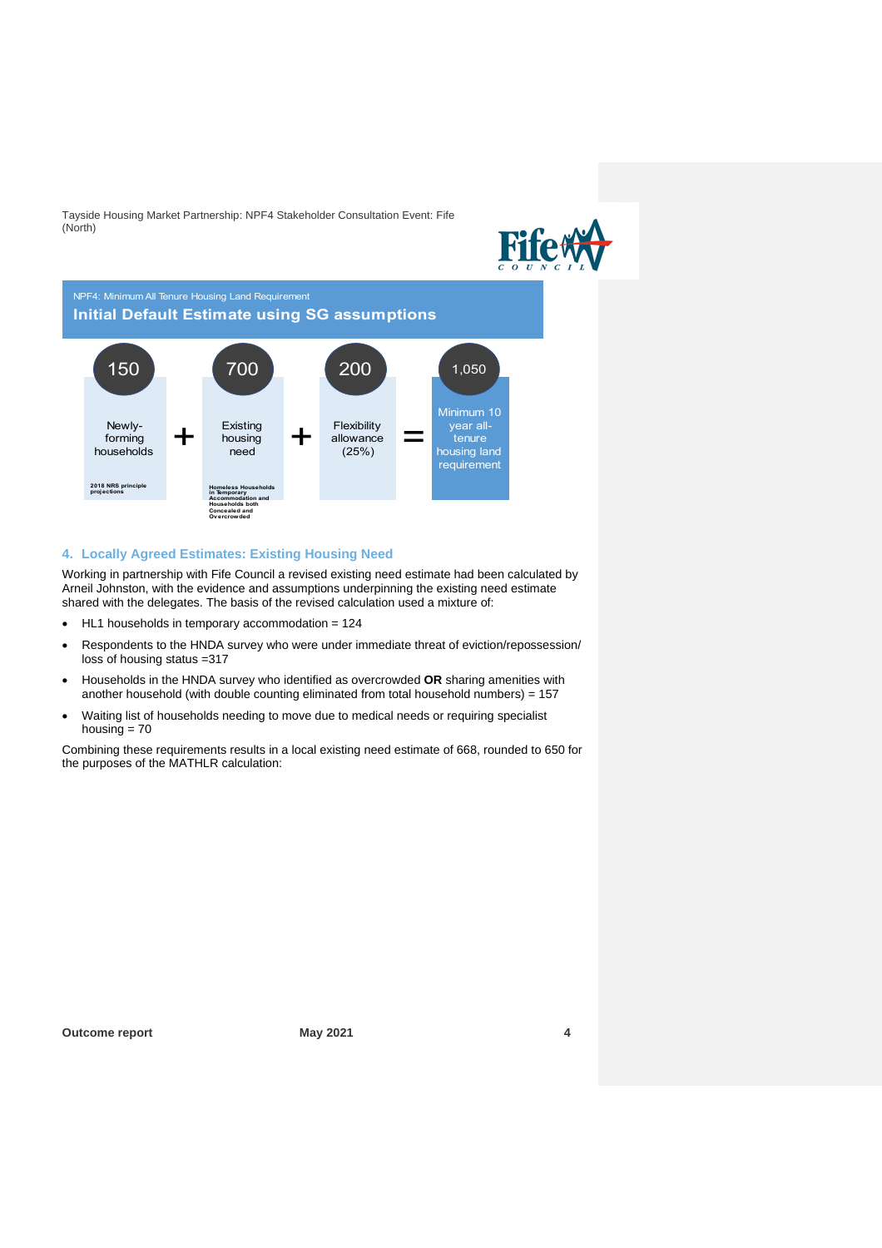

NPF4: Minimum All Tenure Housing Land Requirement



## **4. Locally Agreed Estimates: Existing Housing Need**

Working in partnership with Fife Council a revised existing need estimate had been calculated by Arneil Johnston, with the evidence and assumptions underpinning the existing need estimate shared with the delegates. The basis of the revised calculation used a mixture of:

- HL1 households in temporary accommodation = 124
- Respondents to the HNDA survey who were under immediate threat of eviction/repossession/ loss of housing status =317
- Households in the HNDA survey who identified as overcrowded **OR** sharing amenities with another household (with double counting eliminated from total household numbers) = 157
- Waiting list of households needing to move due to medical needs or requiring specialist housing  $= 70$

Combining these requirements results in a local existing need estimate of 668, rounded to 650 for the purposes of the MATHLR calculation: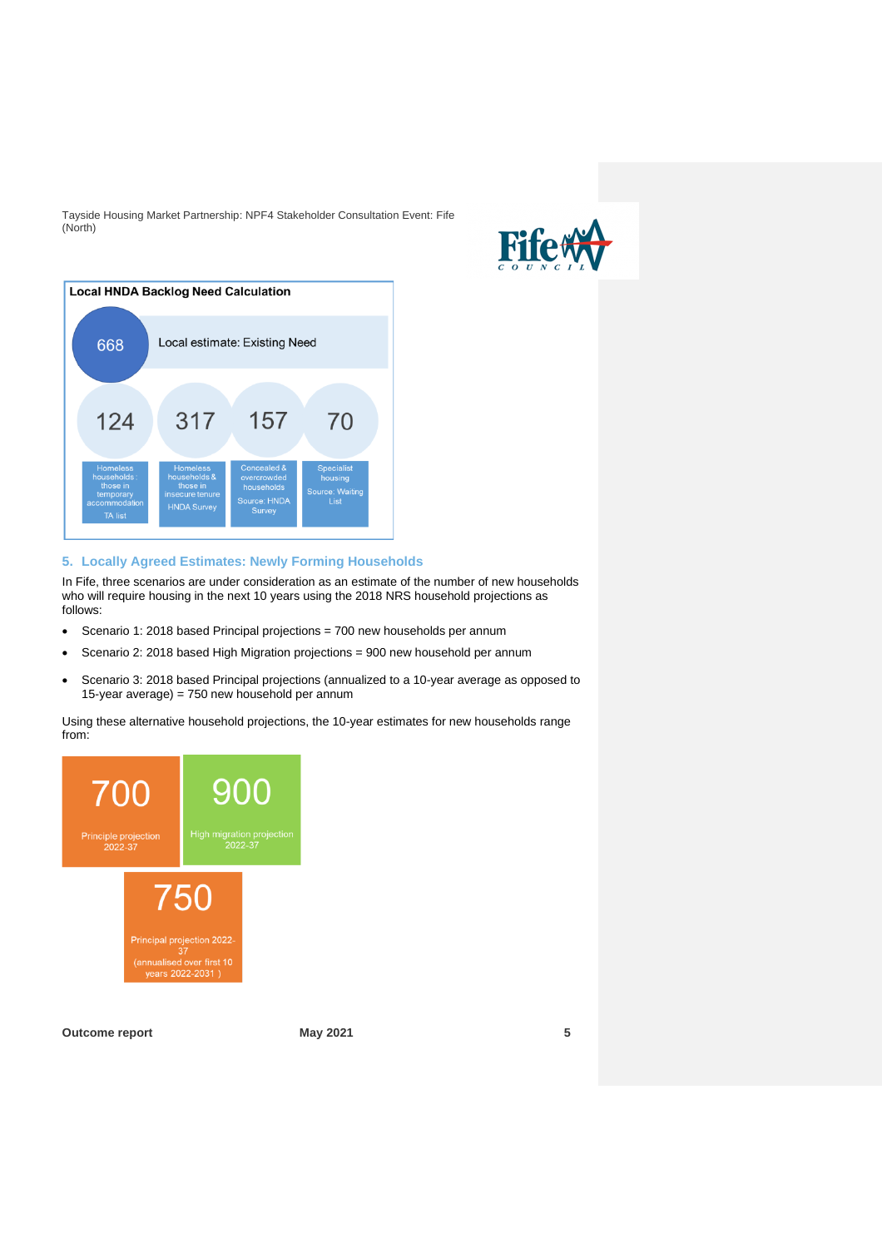



# **5. Locally Agreed Estimates: Newly Forming Households**

In Fife, three scenarios are under consideration as an estimate of the number of new households who will require housing in the next 10 years using the 2018 NRS household projections as follows:

- Scenario 1: 2018 based Principal projections = 700 new households per annum
- Scenario 2: 2018 based High Migration projections = 900 new household per annum
- Scenario 3: 2018 based Principal projections (annualized to a 10-year average as opposed to 15-year average) = 750 new household per annum

Using these alternative household projections, the 10-year estimates for new households range from:

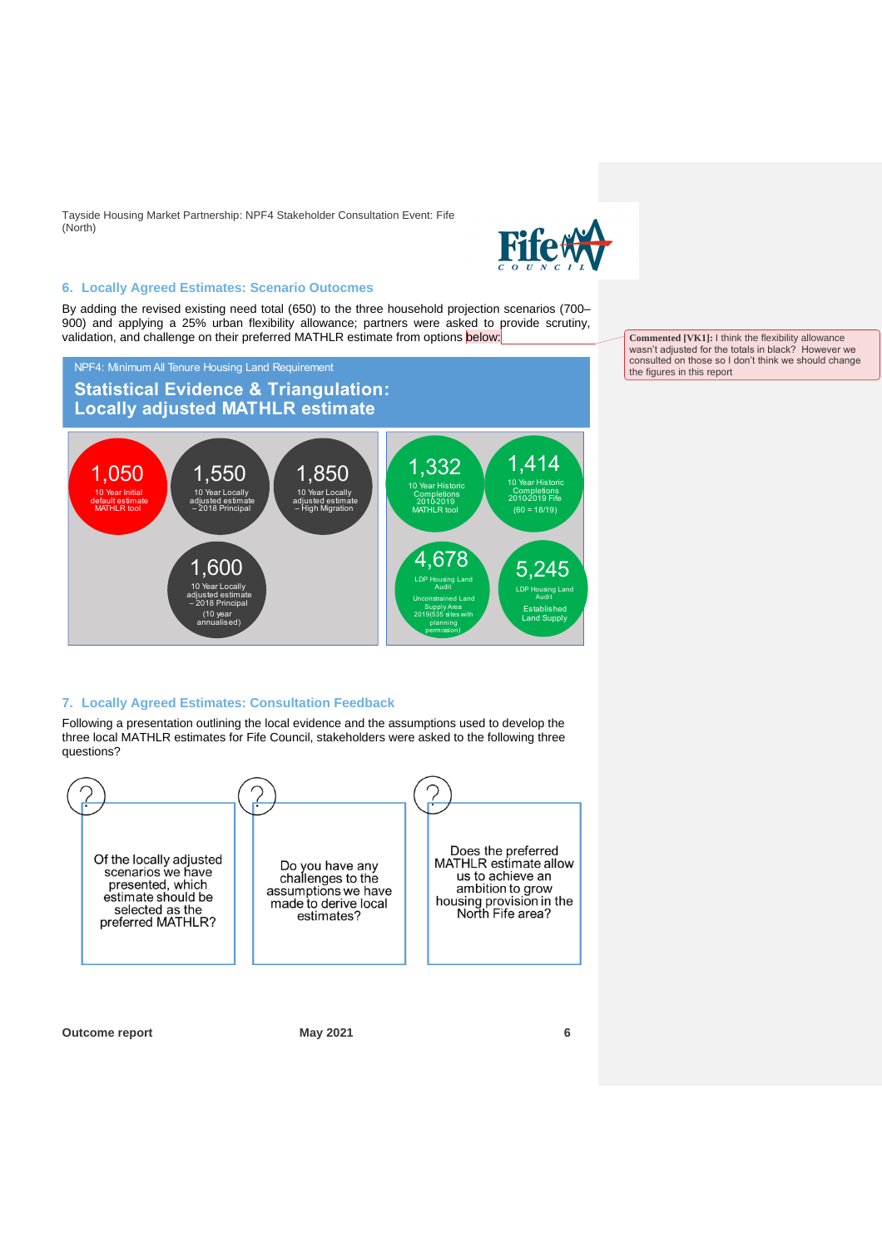

#### **6. Locally Agreed Estimates: Scenario Outocmes**

By adding the revised existing need total (650) to the three household projection scenarios (700– 900) and applying a 25% urban flexibility allowance; partners were asked to provide scrutiny, validation, and challenge on their preferred MATHLR estimate from options below:





## **7. Locally Agreed Estimates: Consultation Feedback**

Following a presentation outlining the local evidence and the assumptions used to develop the three local MATHLR estimates for Fife Council, stakeholders were asked to the following three questions?



**Outcome report May 2021 6**

**Commented [VK1]:** I think the flexibility allowance wasn't adjusted for the totals in black? However we consulted on those so I don't think we should change the figures in this report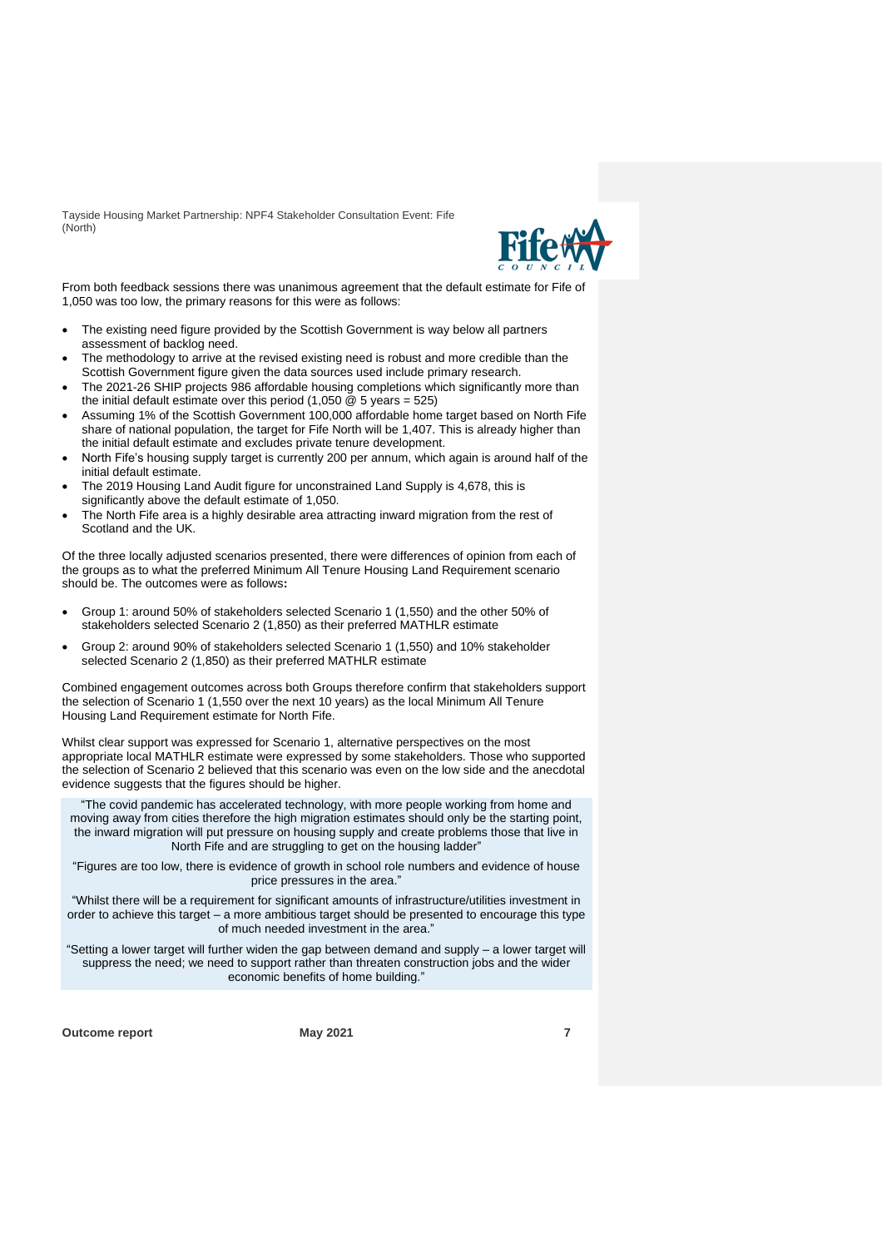

From both feedback sessions there was unanimous agreement that the default estimate for Fife of 1,050 was too low, the primary reasons for this were as follows:

- The existing need figure provided by the Scottish Government is way below all partners assessment of backlog need.
- The methodology to arrive at the revised existing need is robust and more credible than the Scottish Government figure given the data sources used include primary research.
- The 2021-26 SHIP projects 986 affordable housing completions which significantly more than the initial default estimate over this period  $(1,050 \& 5 \text{ years} = 525)$
- Assuming 1% of the Scottish Government 100,000 affordable home target based on North Fife share of national population, the target for Fife North will be 1,407. This is already higher than the initial default estimate and excludes private tenure development.
- North Fife's housing supply target is currently 200 per annum, which again is around half of the initial default estimate.
- The 2019 Housing Land Audit figure for unconstrained Land Supply is 4,678, this is significantly above the default estimate of 1,050.
- The North Fife area is a highly desirable area attracting inward migration from the rest of Scotland and the UK.

Of the three locally adjusted scenarios presented, there were differences of opinion from each of the groups as to what the preferred Minimum All Tenure Housing Land Requirement scenario should be. The outcomes were as follows**:**

- Group 1: around 50% of stakeholders selected Scenario 1 (1,550) and the other 50% of stakeholders selected Scenario 2 (1,850) as their preferred MATHLR estimate
- Group 2: around 90% of stakeholders selected Scenario 1 (1,550) and 10% stakeholder selected Scenario 2 (1,850) as their preferred MATHLR estimate

Combined engagement outcomes across both Groups therefore confirm that stakeholders support the selection of Scenario 1 (1,550 over the next 10 years) as the local Minimum All Tenure Housing Land Requirement estimate for North Fife.

Whilst clear support was expressed for Scenario 1, alternative perspectives on the most appropriate local MATHLR estimate were expressed by some stakeholders. Those who supported the selection of Scenario 2 believed that this scenario was even on the low side and the anecdotal evidence suggests that the figures should be higher.

"The covid pandemic has accelerated technology, with more people working from home and moving away from cities therefore the high migration estimates should only be the starting point, the inward migration will put pressure on housing supply and create problems those that live in North Fife and are struggling to get on the housing ladder"

"Figures are too low, there is evidence of growth in school role numbers and evidence of house price pressures in the area."

"Whilst there will be a requirement for significant amounts of infrastructure/utilities investment in order to achieve this target – a more ambitious target should be presented to encourage this type of much needed investment in the area."

"Setting a lower target will further widen the gap between demand and supply – a lower target will suppress the need; we need to support rather than threaten construction jobs and the wider economic benefits of home building."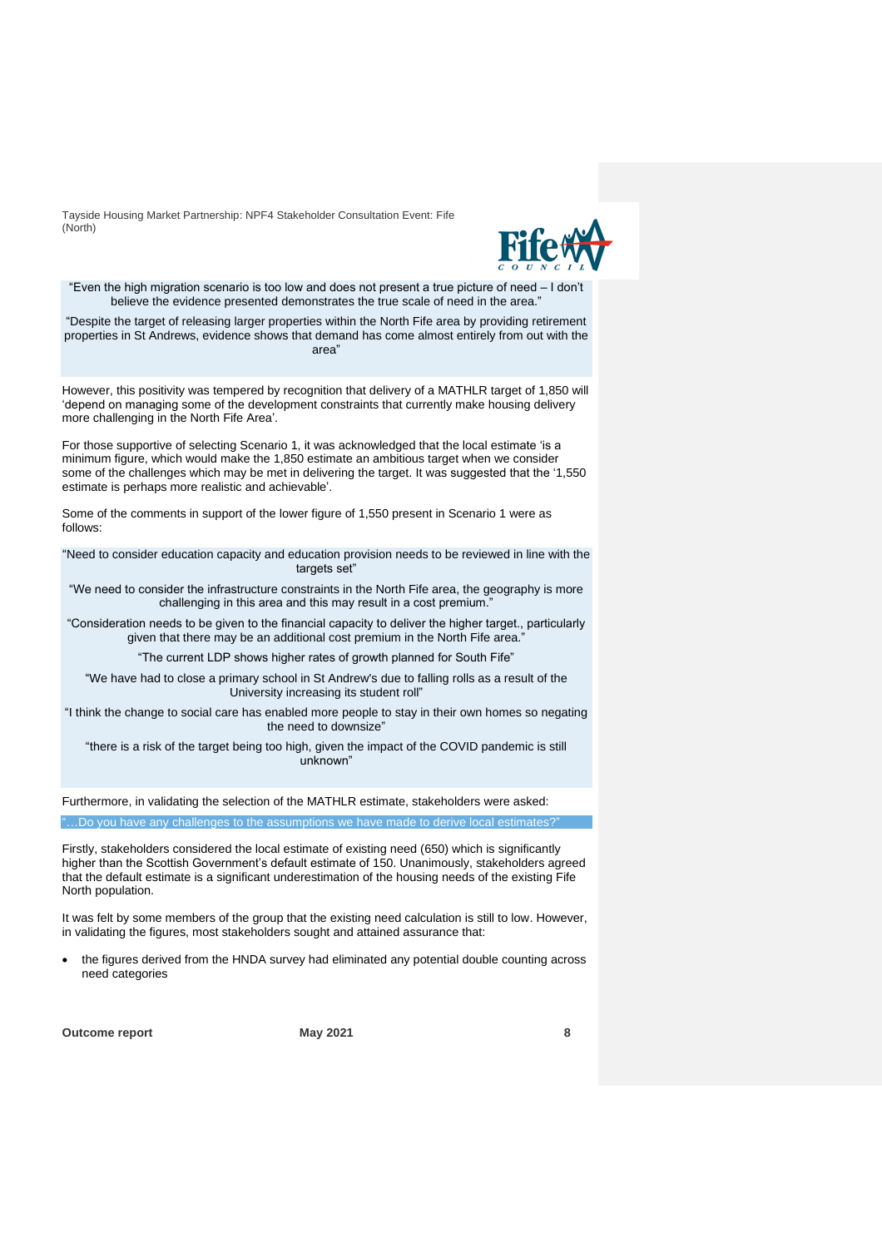

"Even the high migration scenario is too low and does not present a true picture of need - I don't believe the evidence presented demonstrates the true scale of need in the area."

"Despite the target of releasing larger properties within the North Fife area by providing retirement properties in St Andrews, evidence shows that demand has come almost entirely from out with the area"

However, this positivity was tempered by recognition that delivery of a MATHLR target of 1,850 will 'depend on managing some of the development constraints that currently make housing delivery more challenging in the North Fife Area'.

For those supportive of selecting Scenario 1, it was acknowledged that the local estimate 'is a minimum figure, which would make the 1,850 estimate an ambitious target when we consider some of the challenges which may be met in delivering the target. It was suggested that the '1,550 estimate is perhaps more realistic and achievable'.

Some of the comments in support of the lower figure of 1,550 present in Scenario 1 were as follows:

"Need to consider education capacity and education provision needs to be reviewed in line with the targets set"

"We need to consider the infrastructure constraints in the North Fife area, the geography is more challenging in this area and this may result in a cost premium.

"Consideration needs to be given to the financial capacity to deliver the higher target., particularly given that there may be an additional cost premium in the North Fife area.'

"The current LDP shows higher rates of growth planned for South Fife"

"We have had to close a primary school in St Andrew's due to falling rolls as a result of the University increasing its student roll"

"I think the change to social care has enabled more people to stay in their own homes so negating the need to downsize"

"there is a risk of the target being too high, given the impact of the COVID pandemic is still unknown"

Furthermore, in validating the selection of the MATHLR estimate, stakeholders were asked:

"…Do you have any challenges to the assumptions we have made to derive local estimates?"

Firstly, stakeholders considered the local estimate of existing need (650) which is significantly higher than the Scottish Government's default estimate of 150. Unanimously, stakeholders agreed that the default estimate is a significant underestimation of the housing needs of the existing Fife North population.

It was felt by some members of the group that the existing need calculation is still to low. However, in validating the figures, most stakeholders sought and attained assurance that:

• the figures derived from the HNDA survey had eliminated any potential double counting across need categories